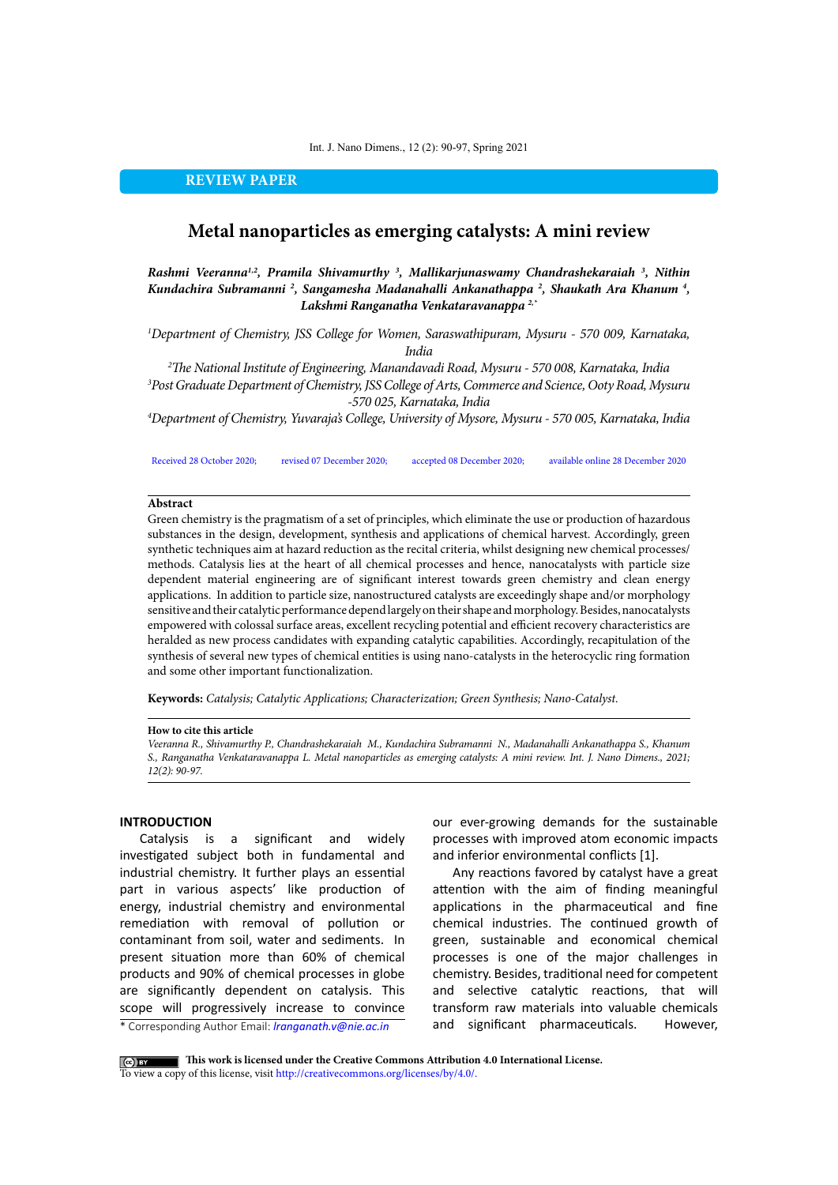Int. J. Nano Dimens., 12 (2): 90-97, Spring 2021

**REVIEW PAPER**

# **Metal nanoparticles as emerging catalysts: A mini review**

*Rashmi Veeranna1,2, Pramila Shivamurthy 3 , Mallikarjunaswamy Chandrashekaraiah 3 , Nithin Kundachira Subramanni 2 , Sangamesha Madanahalli Ankanathappa 2 , Shaukath Ara Khanum 4 , Lakshmi Ranganatha Venkataravanappa 2,\**

*1 Department of Chemistry, JSS College for Women, Saraswathipuram, Mysuru - 570 009, Karnataka, India*

*2 The National Institute of Engineering, Manandavadi Road, Mysuru - 570 008, Karnataka, India 3 Post Graduate Department of Chemistry, JSS College of Arts, Commerce and Science, Ooty Road, Mysuru -570 025, Karnataka, India*

*4 Department of Chemistry, Yuvaraja's College, University of Mysore, Mysuru - 570 005, Karnataka, India*

Received 28 October 2020; revised 07 December 2020; accepted 08 December 2020; available online 28 December 2020

## **Abstract**

Green chemistry is the pragmatism of a set of principles, which eliminate the use or production of hazardous substances in the design, development, synthesis and applications of chemical harvest. Accordingly, green synthetic techniques aim at hazard reduction as the recital criteria, whilst designing new chemical processes/ methods. Catalysis lies at the heart of all chemical processes and hence, nanocatalysts with particle size dependent material engineering are of significant interest towards green chemistry and clean energy applications. In addition to particle size, nanostructured catalysts are exceedingly shape and/or morphology sensitive and their catalytic performance depend largely on their shape and morphology. Besides, nanocatalysts empowered with colossal surface areas, excellent recycling potential and efficient recovery characteristics are heralded as new process candidates with expanding catalytic capabilities. Accordingly, recapitulation of the synthesis of several new types of chemical entities is using nano-catalysts in the heterocyclic ring formation and some other important functionalization.

**Keywords:** *Catalysis; Catalytic Applications; Characterization; Green Synthesis; Nano-Catalyst.*

## **How to cite this article**

*Veeranna R., Shivamurthy P., Chandrashekaraiah M., Kundachira Subramanni N., Madanahalli Ankanathappa S., Khanum S., Ranganatha Venkataravanappa L. Metal nanoparticles as emerging catalysts: A mini review. Int. J. Nano Dimens., 2021; 12(2): 90-97.* 

## **INTRODUCTION**

Catalysis is a significant and widely investigated subject both in fundamental and industrial chemistry. It further plays an essential part in various aspects' like production of energy, industrial chemistry and environmental remediation with removal of pollution or contaminant from soil, water and sediments. In present situation more than 60% of chemical products and 90% of chemical processes in globe are significantly dependent on catalysis. This scope will progressively increase to convince

our ever-growing demands for the sustainable processes with improved atom economic impacts and inferior environmental conflicts [1].

Any reactions favored by catalyst have a great attention with the aim of finding meaningful applications in the pharmaceutical and fine chemical industries. The continued growth of green, sustainable and economical chemical processes is one of the major challenges in chemistry. Besides, traditional need for competent and selective catalytic reactions, that will transform raw materials into valuable chemicals and significant pharmaceuticals. However,

\* Corresponding Author Email: *lranganath.v@nie.ac.in*

 **This work is licensed under the Creative Commons Attribution 4.0 International License.** To view a copy of this license, visit<http://creativecommons.org/licenses/by/4.0/.>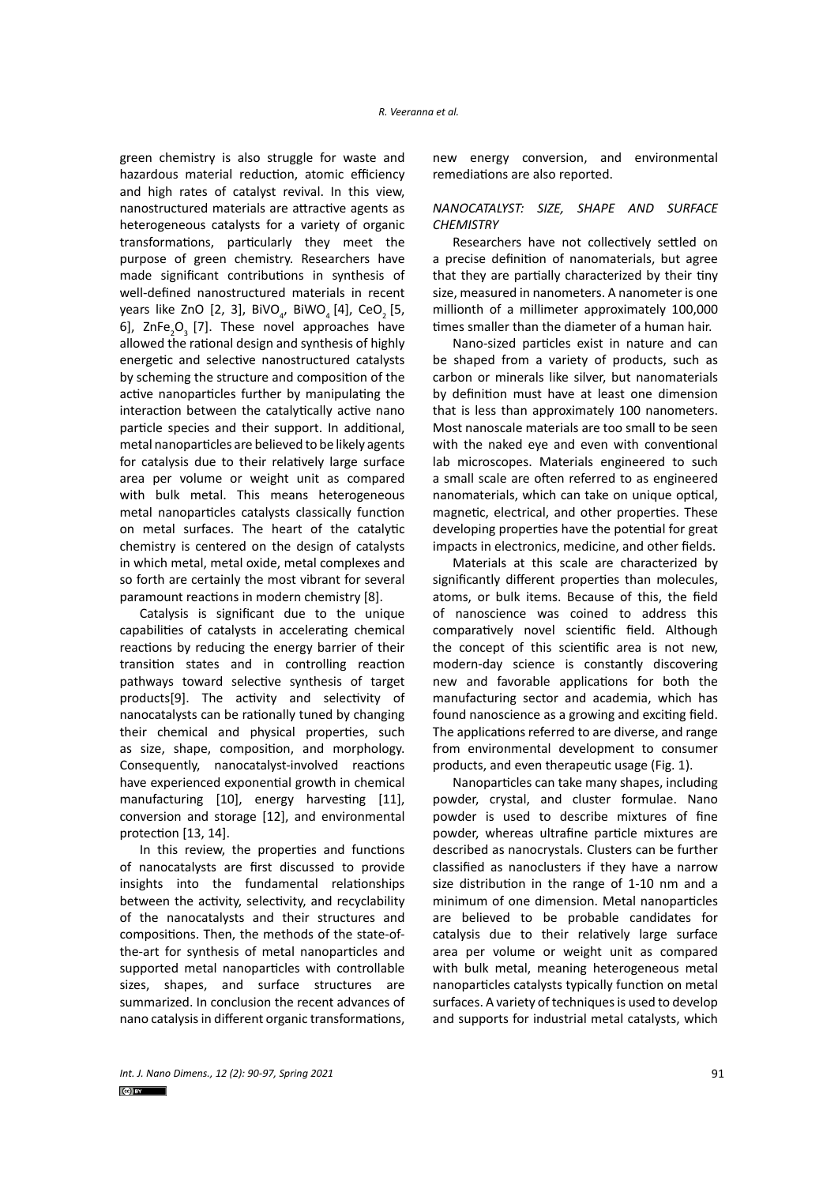green chemistry is also struggle for waste and hazardous material reduction, atomic efficiency and high rates of catalyst revival. In this view, nanostructured materials are attractive agents as heterogeneous catalysts for a variety of organic transformations, particularly they meet the purpose of green chemistry. Researchers have made significant contributions in synthesis of well-defined nanostructured materials in recent years like ZnO [2, 3], BiVO $_{_4}$ , BiWO $_{_4}$  [4], CeO $_{_2}$  [5, 6],  $\text{ZnFe}_2\text{O}_3$  [7]. These novel approaches have allowed the rational design and synthesis of highly energetic and selective nanostructured catalysts by scheming the structure and composition of the active nanoparticles further by manipulating the interaction between the catalytically active nano particle species and their support. In additional, metal nanoparticles are believed to be likely agents for catalysis due to their relatively large surface area per volume or weight unit as compared with bulk metal. This means heterogeneous metal nanoparticles catalysts classically function on metal surfaces. The heart of the catalytic chemistry is centered on the design of catalysts in which metal, metal oxide, metal complexes and so forth are certainly the most vibrant for several paramount reactions in modern chemistry [8].

Catalysis is significant due to the unique capabilities of catalysts in accelerating chemical reactions by reducing the energy barrier of their transition states and in controlling reaction pathways toward selective synthesis of target products[9]. The activity and selectivity of nanocatalysts can be rationally tuned by changing their chemical and physical properties, such as size, shape, composition, and morphology. Consequently, nanocatalyst-involved reactions have experienced exponential growth in chemical manufacturing [10], energy harvesting [11], conversion and storage [12], and environmental protection [13, 14].

In this review, the properties and functions of nanocatalysts are first discussed to provide insights into the fundamental relationships between the activity, selectivity, and recyclability of the nanocatalysts and their structures and compositions. Then, the methods of the state-ofthe-art for synthesis of metal nanoparticles and supported metal nanoparticles with controllable sizes, shapes, and surface structures are summarized. In conclusion the recent advances of nano catalysis in different organic transformations,

new energy conversion, and environmental remediations are also reported.

# *NANOCATALYST: SIZE, SHAPE AND SURFACE CHEMISTRY*

Researchers have not collectively settled on a precise definition of nanomaterials, but agree that they are partially characterized by their tiny size, measured in nanometers. A nanometer is one millionth of a millimeter approximately 100,000 times smaller than the diameter of a human hair.

Nano-sized particles exist in nature and can be shaped from a variety of products, such as carbon or minerals like silver, but nanomaterials by definition must have at least one dimension that is less than approximately 100 nanometers. Most nanoscale materials are too small to be seen with the naked eye and even with conventional lab microscopes. Materials engineered to such a small scale are often referred to as engineered nanomaterials, which can take on unique optical, magnetic, electrical, and other properties. These developing properties have the potential for great impacts in electronics, medicine, and other fields.

Materials at this scale are characterized by significantly different properties than molecules, atoms, or bulk items. Because of this, the field of nanoscience was coined to address this comparatively novel scientific field. Although the concept of this scientific area is not new, modern-day science is constantly discovering new and favorable applications for both the manufacturing sector and academia, which has found nanoscience as a growing and exciting field. The applications referred to are diverse, and range from environmental development to consumer products, and even therapeutic usage (Fig. 1).

Nanoparticles can take many shapes, including powder, crystal, and cluster formulae. Nano powder is used to describe mixtures of fine powder, whereas ultrafine particle mixtures are described as nanocrystals. Clusters can be further classified as nanoclusters if they have a narrow size distribution in the range of 1-10 nm and a minimum of one dimension. Metal nanoparticles are believed to be probable candidates for catalysis due to their relatively large surface area per volume or weight unit as compared with bulk metal, meaning heterogeneous metal nanoparticles catalysts typically function on metal surfaces. A variety of techniques is used to develop and supports for industrial metal catalysts, which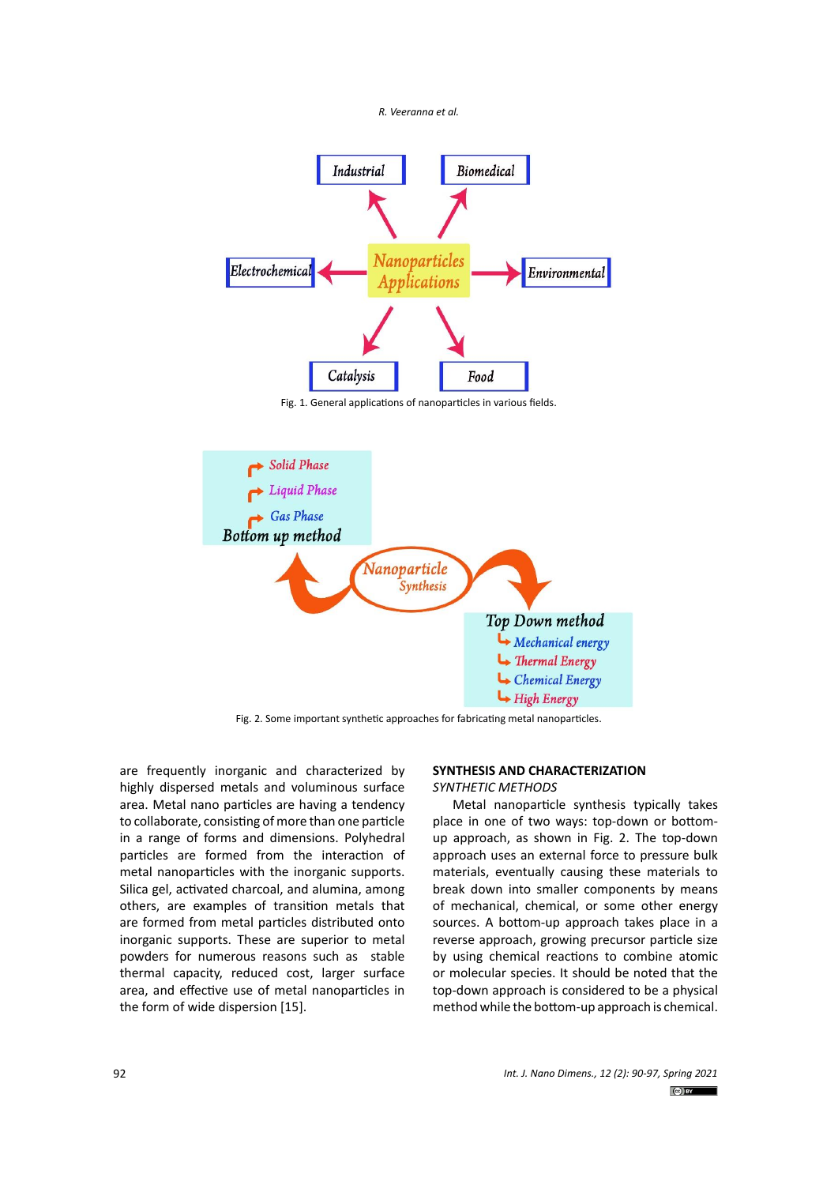



Fig. 1. General applications of nanoparticles in various fields.



Fig. 2. Some important synthetic approaches for fabricating metal nanoparticles.

are frequently inorganic and characterized by highly dispersed metals and voluminous surface area. Metal nano particles are having a tendency to collaborate, consisting of more than one particle in a range of forms and dimensions. Polyhedral particles are formed from the interaction of metal nanoparticles with the inorganic supports. Silica gel, activated charcoal, and alumina, among others, are examples of transition metals that are formed from metal particles distributed onto inorganic supports. These are superior to metal powders for numerous reasons such as stable thermal capacity, reduced cost, larger surface area, and effective use of metal nanoparticles in the form of wide dispersion [15].

# **SYNTHESIS AND CHARACTERIZATION**

*SYNTHETIC METHODS*

Metal nanoparticle synthesis typically takes place in one of two ways: top-down or bottomup approach, as shown in Fig. 2. The top‐down approach uses an external force to pressure bulk materials, eventually causing these materials to break down into smaller components by means of mechanical, chemical, or some other energy sources. A bottom-up approach takes place in a reverse approach, growing precursor particle size by using chemical reactions to combine atomic or molecular species. It should be noted that the top‐down approach is considered to be a physical method while the bottom‐up approach is chemical.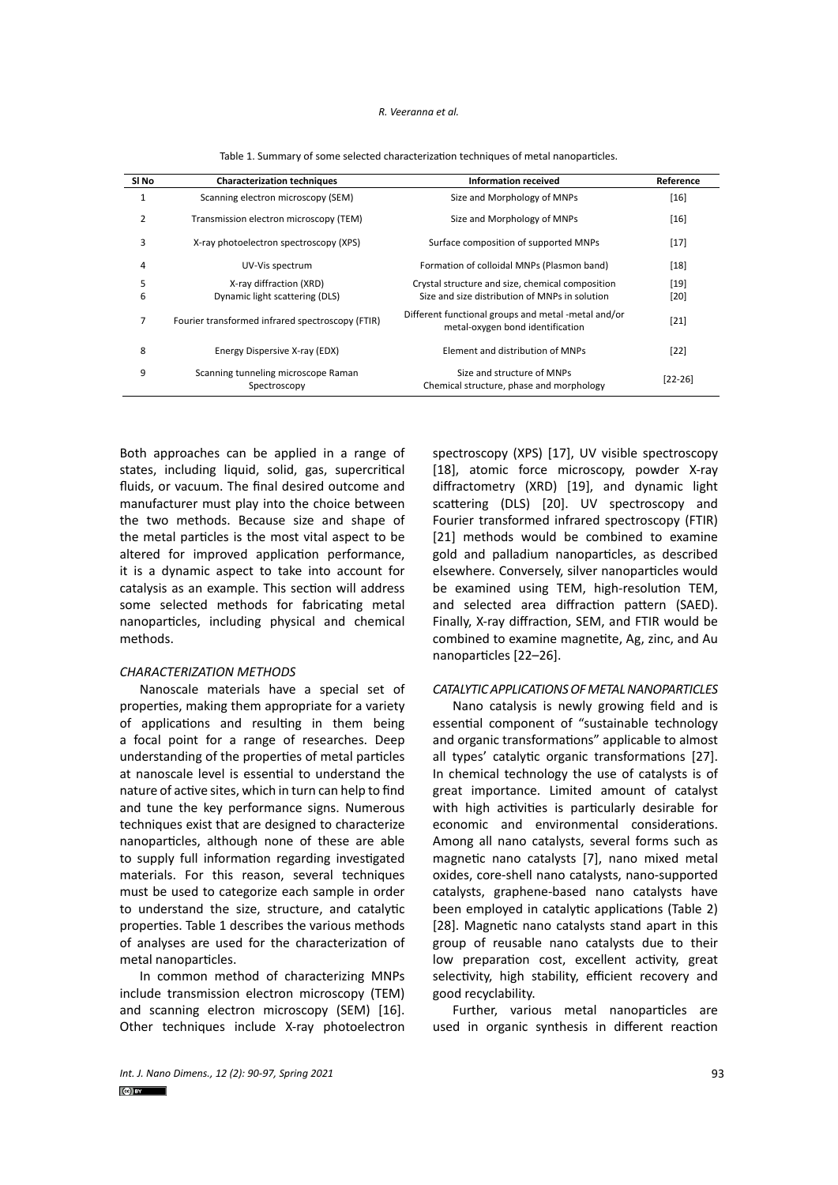#### *R. Veeranna et al.*

| SI No | <b>Characterization techniques</b>                  | <b>Information received</b>                                                             | Reference |
|-------|-----------------------------------------------------|-----------------------------------------------------------------------------------------|-----------|
| 1     | Scanning electron microscopy (SEM)                  | Size and Morphology of MNPs                                                             | $[16]$    |
| 2     | Transmission electron microscopy (TEM)              | Size and Morphology of MNPs                                                             | $[16]$    |
| 3     | X-ray photoelectron spectroscopy (XPS)              | Surface composition of supported MNPs                                                   | $[17]$    |
| 4     | UV-Vis spectrum                                     | Formation of colloidal MNPs (Plasmon band)                                              | $[18]$    |
| 5     | X-ray diffraction (XRD)                             | Crystal structure and size, chemical composition                                        | $[19]$    |
| 6     | Dynamic light scattering (DLS)                      | Size and size distribution of MNPs in solution                                          | [20]      |
| 7     | Fourier transformed infrared spectroscopy (FTIR)    | Different functional groups and metal -metal and/or<br>metal-oxygen bond identification | $[21]$    |
| 8     | Energy Dispersive X-ray (EDX)                       | Element and distribution of MNPs                                                        | $[22]$    |
| 9     | Scanning tunneling microscope Raman<br>Spectroscopy | Size and structure of MNPs<br>Chemical structure, phase and morphology                  | $[22-26]$ |

**Table 1. Summary of some selected characterization techniques of metal nanoparticles.** Table 1. Summary of some selected characterization techniques of metal nanoparticles.

Both approaches can be applied in a range of states, including liquid, solid, gas, supercritical fluids, or vacuum. The final desired outcome and manufacturer must play into the choice between the two methods. Because size and shape of the metal particles is the most vital aspect to be altered for improved application performance, it is a dynamic aspect to take into account for catalysis as an example. This section will address some selected methods for fabricating metal nanoparticles, including physical and chemical methods.

## *CHARACTERIZATION METHODS*

Nanoscale materials have a special set of properties, making them appropriate for a variety of applications and resulting in them being a focal point for a range of researches. Deep understanding of the properties of metal particles at nanoscale level is essential to understand the nature of active sites, which in turn can help to find and tune the key performance signs. Numerous techniques exist that are designed to characterize nanoparticles, although none of these are able to supply full information regarding investigated materials. For this reason, several techniques must be used to categorize each sample in order to understand the size, structure, and catalytic properties. Table 1 describes the various methods of analyses are used for the characterization of metal nanoparticles.

In common method of characterizing MNPs include transmission electron microscopy (TEM) and scanning electron microscopy (SEM) [16]. Other techniques include X-ray photoelectron spectroscopy (XPS) [17], UV visible spectroscopy [18], atomic force microscopy, powder X-ray diffractometry (XRD) [19], and dynamic light scattering (DLS) [20]. UV spectroscopy and Fourier transformed infrared spectroscopy (FTIR) [21] methods would be combined to examine gold and palladium nanoparticles, as described elsewhere. Conversely, silver nanoparticles would be examined using TEM, high-resolution TEM, and selected area diffraction pattern (SAED). Finally, X‐ray diffraction, SEM, and FTIR would be combined to examine magnetite, Ag, zinc, and Au nanoparticles [22–26].

#### *CATALYTIC APPLICATIONS OF METAL NANOPARTICLES*

Nano catalysis is newly growing field and is essential component of "sustainable technology and organic transformations" applicable to almost all types' catalytic organic transformations [27]. In chemical technology the use of catalysts is of great importance. Limited amount of catalyst with high activities is particularly desirable for economic and environmental considerations. Among all nano catalysts, several forms such as magnetic nano catalysts [7], nano mixed metal oxides, core-shell nano catalysts, nano-supported catalysts, graphene-based nano catalysts have been employed in catalytic applications (Table 2) [28]. Magnetic nano catalysts stand apart in this group of reusable nano catalysts due to their low preparation cost, excellent activity, great selectivity, high stability, efficient recovery and good recyclability.

Further, various metal nanoparticles are used in organic synthesis in different reaction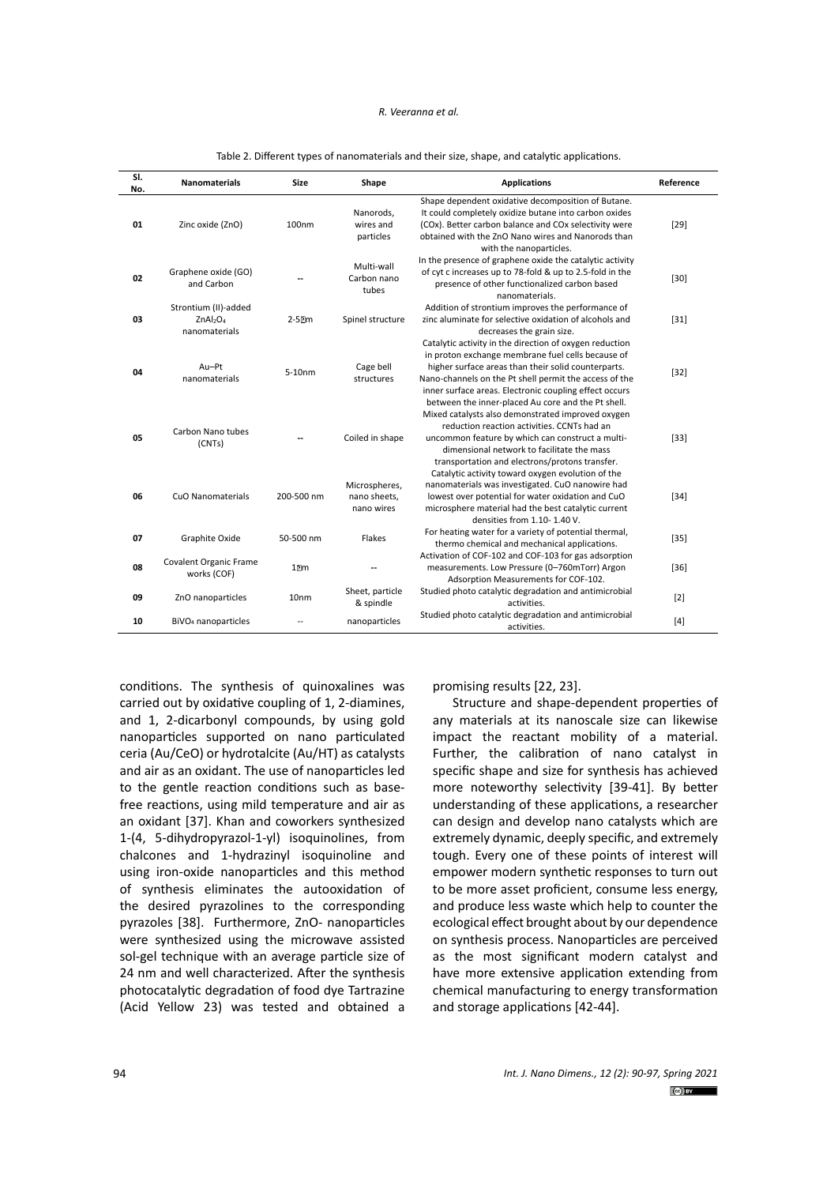#### *R. Veeranna et al.*

| SI.<br>No. | <b>Nanomaterials</b>                                                      | <b>Size</b>                   | Shape                                       | <b>Applications</b>                                                                                                                                                                                                                                                                                                                           | Reference |
|------------|---------------------------------------------------------------------------|-------------------------------|---------------------------------------------|-----------------------------------------------------------------------------------------------------------------------------------------------------------------------------------------------------------------------------------------------------------------------------------------------------------------------------------------------|-----------|
| 01         | Zinc oxide (ZnO)                                                          | 100nm                         | Nanorods,<br>wires and<br>particles         | Shape dependent oxidative decomposition of Butane.<br>It could completely oxidize butane into carbon oxides<br>(COx). Better carbon balance and COx selectivity were<br>obtained with the ZnO Nano wires and Nanorods than<br>with the nanoparticles.                                                                                         | $[29]$    |
| 02         | Graphene oxide (GO)<br>and Carbon                                         |                               | Multi-wall<br>Carbon nano<br>tubes          | In the presence of graphene oxide the catalytic activity<br>of cyt c increases up to 78-fold & up to 2.5-fold in the<br>presence of other functionalized carbon based<br>nanomaterials.                                                                                                                                                       | $[30]$    |
| 03         | Strontium (II)-added<br>ZnAl <sub>2</sub> O <sub>4</sub><br>nanomaterials | 2-52m                         | Spinel structure                            | Addition of strontium improves the performance of<br>zinc aluminate for selective oxidation of alcohols and<br>decreases the grain size.                                                                                                                                                                                                      | $[31]$    |
| 04         | Au-Pt<br>nanomaterials                                                    | 5-10nm                        | Cage bell<br>structures                     | Catalytic activity in the direction of oxygen reduction<br>in proton exchange membrane fuel cells because of<br>higher surface areas than their solid counterparts.<br>Nano-channels on the Pt shell permit the access of the<br>inner surface areas. Electronic coupling effect occurs<br>between the inner-placed Au core and the Pt shell. | $[32]$    |
| 05         | Carbon Nano tubes<br>(CNTs)                                               |                               | Coiled in shape                             | Mixed catalysts also demonstrated improved oxygen<br>reduction reaction activities. CCNTs had an<br>uncommon feature by which can construct a multi-<br>dimensional network to facilitate the mass<br>transportation and electrons/protons transfer.                                                                                          | $[33]$    |
| 06         | <b>CuO Nanomaterials</b>                                                  | 200-500 nm                    | Microspheres,<br>nano sheets,<br>nano wires | Catalytic activity toward oxygen evolution of the<br>nanomaterials was investigated. CuO nanowire had<br>lowest over potential for water oxidation and CuO<br>microsphere material had the best catalytic current<br>densities from 1.10-1.40 V.                                                                                              | $[34]$    |
| 07         | Graphite Oxide                                                            | 50-500 nm                     | Flakes                                      | For heating water for a variety of potential thermal,<br>thermo chemical and mechanical applications.                                                                                                                                                                                                                                         | $[35]$    |
| 08         | Covalent Organic Frame<br>works (COF)                                     | $1$ <sup><math>m</math></sup> | --                                          | Activation of COF-102 and COF-103 for gas adsorption<br>measurements. Low Pressure (0-760mTorr) Argon<br>Adsorption Measurements for COF-102.                                                                                                                                                                                                 | $[36]$    |
| 09         | ZnO nanoparticles                                                         | 10 <sub>nm</sub>              | Sheet, particle<br>& spindle                | Studied photo catalytic degradation and antimicrobial<br>activities.                                                                                                                                                                                                                                                                          | [2]       |
| 10         | BiVO <sub>4</sub> nanoparticles                                           |                               | nanoparticles                               | Studied photo catalytic degradation and antimicrobial<br>activities.                                                                                                                                                                                                                                                                          | $[4]$     |

**Table 2. Different types of nanomaterials and their size, shape, and catalytic applications.** Table 2. Different types of nanomaterials and their size, shape, and catalytic applications.

conditions. The synthesis of quinoxalines was carried out by oxidative coupling of 1, 2-diamines, and 1, 2-dicarbonyl compounds, by using gold nanoparticles supported on nano particulated ceria (Au/CeO) or hydrotalcite (Au/HT) as catalysts and air as an oxidant. The use of nanoparticles led to the gentle reaction conditions such as basefree reactions, using mild temperature and air as an oxidant [37]. Khan and coworkers synthesized 1-(4, 5-dihydropyrazol-1-yl) isoquinolines, from chalcones and 1-hydrazinyl isoquinoline and using iron-oxide nanoparticles and this method of synthesis eliminates the autooxidation of the desired pyrazolines to the corresponding pyrazoles [38]. Furthermore, ZnO- nanoparticles were synthesized using the microwave assisted sol-gel technique with an average particle size of 24 nm and well characterized. After the synthesis photocatalytic degradation of food dye Tartrazine (Acid Yellow 23) was tested and obtained a

promising results [22, 23].

Structure and shape-dependent properties of any materials at its nanoscale size can likewise impact the reactant mobility of a material. Further, the calibration of nano catalyst in specific shape and size for synthesis has achieved more noteworthy selectivity [39-41]. By better understanding of these applications, a researcher can design and develop nano catalysts which are extremely dynamic, deeply specific, and extremely tough. Every one of these points of interest will empower modern synthetic responses to turn out to be more asset proficient, consume less energy, and produce less waste which help to counter the ecological effect brought about by our dependence on synthesis process. Nanoparticles are perceived as the most significant modern catalyst and have more extensive application extending from chemical manufacturing to energy transformation and storage applications [42-44].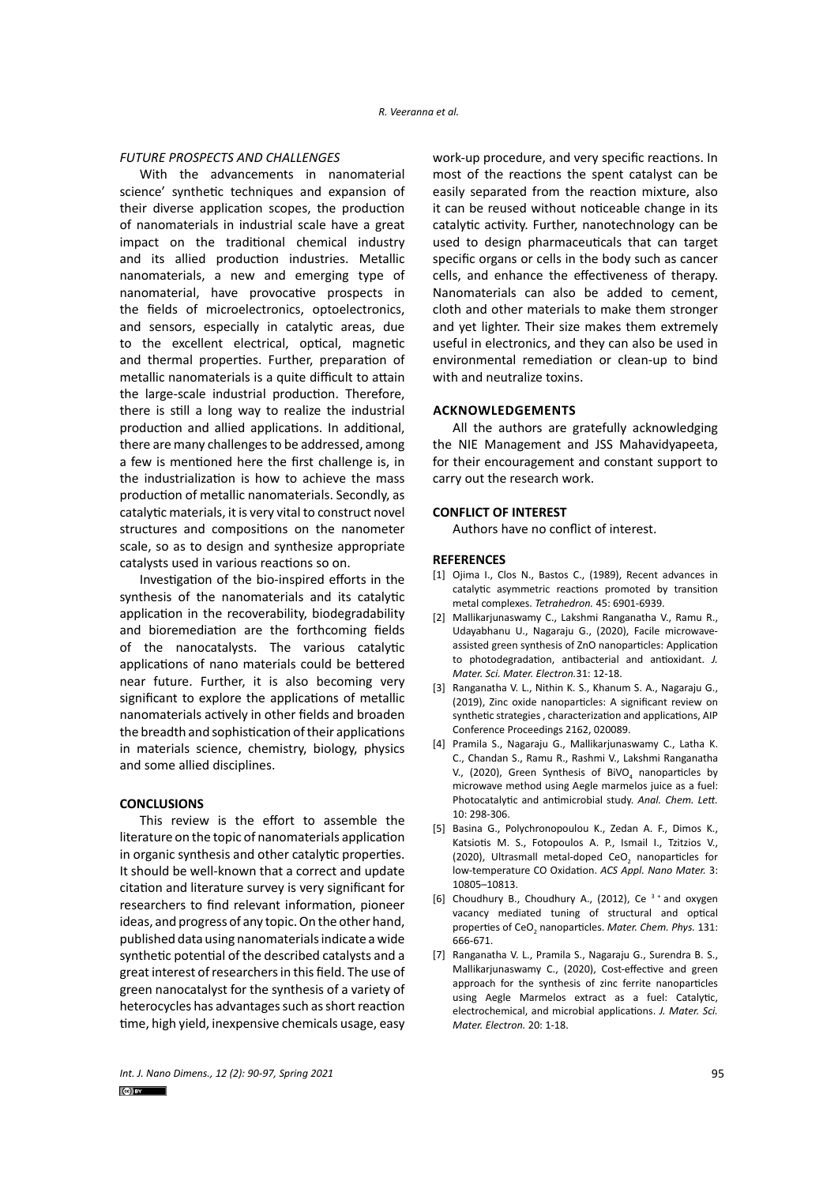## *FUTURE PROSPECTS AND CHALLENGES*

With the advancements in nanomaterial science' synthetic techniques and expansion of their diverse application scopes, the production of nanomaterials in industrial scale have a great impact on the traditional chemical industry and its allied production industries. Metallic nanomaterials, a new and emerging type of nanomaterial, have provocative prospects in the fields of microelectronics, optoelectronics, and sensors, especially in catalytic areas, due to the excellent electrical, optical, magnetic and thermal properties. Further, preparation of metallic nanomaterials is a quite difficult to attain the large-scale industrial production. Therefore, there is still a long way to realize the industrial production and allied applications. In additional, there are many challenges to be addressed, among a few is mentioned here the first challenge is, in the industrialization is how to achieve the mass production of metallic nanomaterials. Secondly, as catalytic materials, it is very vital to construct novel structures and compositions on the nanometer scale, so as to design and synthesize appropriate catalysts used in various reactions so on.

Investigation of the bio-inspired efforts in the synthesis of the nanomaterials and its catalytic application in the recoverability, biodegradability and bioremediation are the forthcoming fields of the nanocatalysts. The various catalytic applications of nano materials could be bettered near future. Further, it is also becoming very significant to explore the applications of metallic nanomaterials actively in other fields and broaden the breadth and sophistication of their applications in materials science, chemistry, biology, physics and some allied disciplines.

## **CONCLUSIONS**

This review is the effort to assemble the literature on the topic of nanomaterials application in organic synthesis and other catalytic properties. It should be well-known that a correct and update citation and literature survey is very significant for researchers to find relevant information, pioneer ideas, and progress of any topic. On the other hand, published data using nanomaterials indicate a wide synthetic potential of the described catalysts and a great interest of researchers in this field. The use of green nanocatalyst for the synthesis of a variety of heterocycles has advantages such as short reaction time, high yield, inexpensive chemicals usage, easy

work-up procedure, and very specific reactions. In most of the reactions the spent catalyst can be easily separated from the reaction mixture, also it can be reused without noticeable change in its catalytic activity. Further, nanotechnology can be used to design pharmaceuticals that can target specific organs or cells in the body such as cancer cells, and enhance the effectiveness of therapy. Nanomaterials can also be added to cement, cloth and other materials to make them stronger and yet lighter. Their size makes them extremely useful in electronics, and they can also be used in environmental remediation or clean-up to bind with and neutralize toxins.

## **ACKNOWLEDGEMENTS**

All the authors are gratefully acknowledging the NIE Management and JSS Mahavidyapeeta, for their encouragement and constant support to carry out the research work.

#### **CONFLICT OF INTEREST**

Authors have no conflict of interest.

## **REFERENCES**

- [1] Ojima I., Clos N., Bastos C., (1989), Recent advances in catalytic asymmetric reactions promoted by transition metal complexes. *Tetrahedron.* 45: 6901-6939.
- [2] Mallikarjunaswamy C., Lakshmi Ranganatha V., Ramu R., Udayabhanu U., Nagaraju G., (2020), Facile microwaveassisted green synthesis of ZnO nanoparticles: Application to photodegradation, antibacterial and antioxidant. *J. Mater. Sci. Mater. Electron.*31: 12-18.
- [3] Ranganatha V. L., Nithin K. S., Khanum S. A., Nagaraju G., (2019), Zinc oxide nanoparticles: A significant review on synthetic strategies , characterization and applications, AIP Conference Proceedings 2162, 020089.
- [4] Pramila S., Nagaraju G., Mallikarjunaswamy C., Latha K. C., Chandan S., Ramu R., Rashmi V., Lakshmi Ranganatha V., (2020), Green Synthesis of BiVO<sub>4</sub> nanoparticles by microwave method using Aegle marmelos juice as a fuel: Photocatalytic and antimicrobial study. *Anal. Chem. Lett.*  10: 298-306.
- [5] Basina G., Polychronopoulou K., Zedan A. F., Dimos K., Katsiotis M. S., Fotopoulos A. P., Ismail I., Tzitzios V., (2020), Ultrasmall metal-doped CeO<sub>2</sub> nanoparticles for low-temperature CO Oxidation. *ACS Appl. Nano Mater.* 3: 10805–10813.
- [6] Choudhury B., Choudhury A., (2012), Ce<sup>3+</sup> and oxygen vacancy mediated tuning of structural and optical properties of CeO<sub>2</sub> nanoparticles. *Mater. Chem. Phys.* 131: 666-671.
- [7] Ranganatha V. L., Pramila S., Nagaraju G., Surendra B. S., Mallikarjunaswamy C., (2020), Cost-effective and green approach for the synthesis of zinc ferrite nanoparticles using Aegle Marmelos extract as a fuel: Catalytic, electrochemical, and microbial applications. *J. Mater. Sci. Mater. Electron.* 20: 1-18.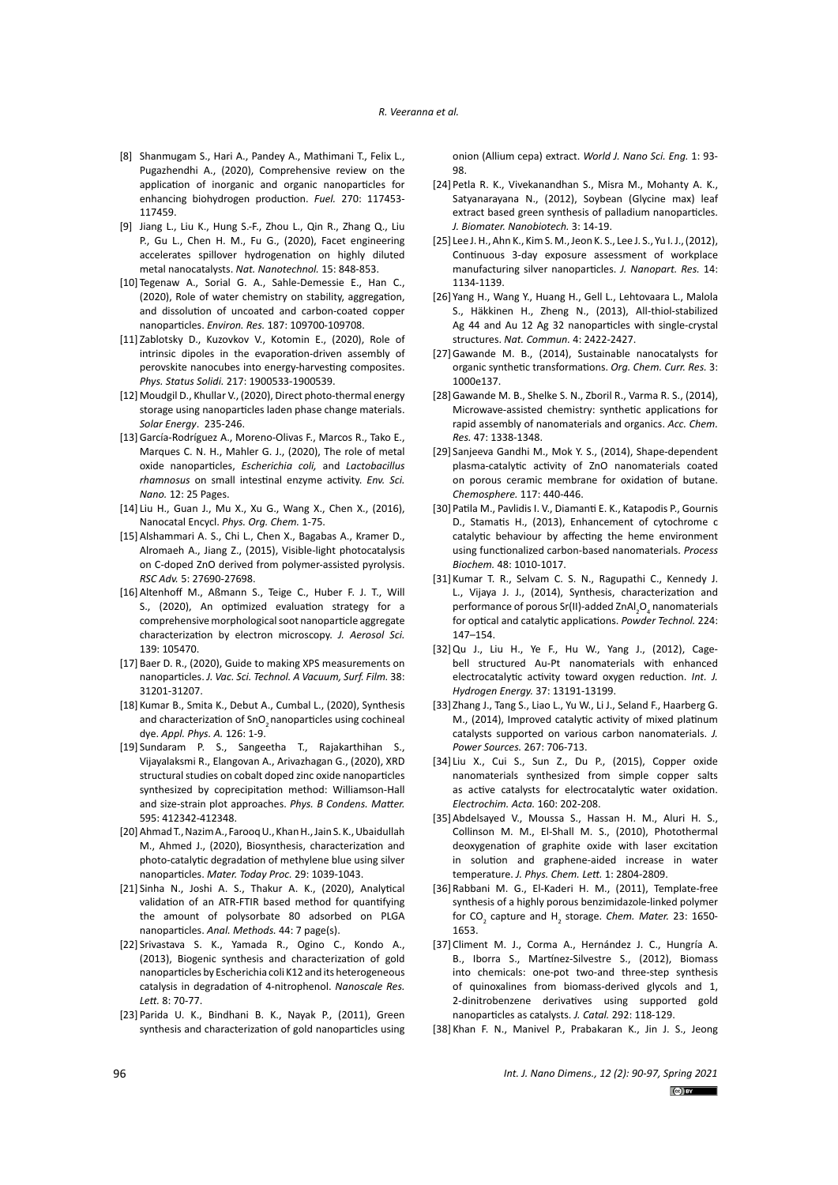#### *R. Veeranna et al.*

- [8] Shanmugam S., Hari A., Pandey A., Mathimani T., Felix L., Pugazhendhi A., (2020), Comprehensive review on the application of inorganic and organic nanoparticles for enhancing biohydrogen production. *Fuel.* 270: 117453- 117459.
- [9] Jiang L., Liu K., Hung S.-F., Zhou L., Qin R., Zhang Q., Liu P., Gu L., Chen H. M., Fu G., (2020), Facet engineering accelerates spillover hydrogenation on highly diluted metal nanocatalysts. *Nat. Nanotechnol.* 15: 848-853.
- [10] Tegenaw A., Sorial G. A., Sahle-Demessie E., Han C., (2020), Role of water chemistry on stability, aggregation, and dissolution of uncoated and carbon-coated copper nanoparticles. *Environ. Res.* 187: 109700-109708.
- [11] Zablotsky D., Kuzovkov V., Kotomin E., (2020), Role of intrinsic dipoles in the evaporation‐driven assembly of perovskite nanocubes into energy‐harvesting composites. *Phys. Status Solidi.* 217: 1900533-1900539.
- [12] Moudgil D., Khullar V., (2020), Direct photo-thermal energy storage using nanoparticles laden phase change materials. *Solar Energy*. 235-246.
- [13]García-Rodríguez A., Moreno-Olivas F., Marcos R., Tako E., Marques C. N. H., Mahler G. J., (2020), The role of metal oxide nanoparticles, *Escherichia coli,* and *Lactobacillus rhamnosus* on small intestinal enzyme activity. *Env. Sci. Nano.* 12: 25 Pages.
- [14] Liu H., Guan J., Mu X., Xu G., Wang X., Chen X., (2016), Nanocatal Encycl. *Phys. Org. Chem.* 1-75.
- [15]Alshammari A. S., Chi L., Chen X., Bagabas A., Kramer D., Alromaeh A., Jiang Z., (2015), Visible-light photocatalysis on C-doped ZnO derived from polymer-assisted pyrolysis. *RSC Adv.* 5: 27690-27698.
- [16]Altenhoff M., Aßmann S., Teige C., Huber F. J. T., Will S., (2020), An optimized evaluation strategy for a comprehensive morphological soot nanoparticle aggregate characterization by electron microscopy. *J. Aerosol Sci.* 139: 105470.
- [17] Baer D. R., (2020), Guide to making XPS measurements on nanoparticles. *J. Vac. Sci. Technol. A Vacuum, Surf. Film.* 38: 31201-31207.
- [18] Kumar B., Smita K., Debut A., Cumbal L., (2020), Synthesis and characterization of SnO<sub>2</sub> nanoparticles using cochineal dye. *Appl. Phys. A.* 126: 1-9.
- [19] Sundaram P. S., Sangeetha T., Rajakarthihan S., Vijayalaksmi R., Elangovan A., Arivazhagan G., (2020), XRD structural studies on cobalt doped zinc oxide nanoparticles synthesized by coprecipitation method: Williamson-Hall and size-strain plot approaches. *Phys. B Condens. Matter.* 595: 412342-412348.
- [20]Ahmad T., Nazim A., Farooq U., Khan H., Jain S. K., Ubaidullah M., Ahmed J., (2020), Biosynthesis, characterization and photo-catalytic degradation of methylene blue using silver nanoparticles. *Mater. Today Proc.* 29: 1039-1043.
- [21] Sinha N., Joshi A. S., Thakur A. K., (2020), Analytical validation of an ATR-FTIR based method for quantifying the amount of polysorbate 80 adsorbed on PLGA nanoparticles. *Anal. Methods.* 44: 7 page(s).
- [22] Srivastava S. K., Yamada R., Ogino C., Kondo A., (2013), Biogenic synthesis and characterization of gold nanoparticles by Escherichia coli K12 and its heterogeneous catalysis in degradation of 4-nitrophenol. *Nanoscale Res. Lett.* 8: 70-77.
- [23] Parida U. K., Bindhani B. K., Nayak P., (2011), Green synthesis and characterization of gold nanoparticles using

onion (Allium cepa) extract. *World J. Nano Sci. Eng.* 1: 93- 98.

- [24] Petla R. K., Vivekanandhan S., Misra M., Mohanty A. K., Satyanarayana N., (2012), Soybean (Glycine max) leaf extract based green synthesis of palladium nanoparticles. *J. Biomater. Nanobiotech.* 3: 14-19.
- [25] Lee J. H., Ahn K., Kim S. M., Jeon K. S., Lee J. S., Yu I. J., (2012), Continuous 3-day exposure assessment of workplace manufacturing silver nanoparticles. *J. Nanopart. Res.* 14: 1134-1139.
- [26] Yang H., Wang Y., Huang H., Gell L., Lehtovaara L., Malola S., Häkkinen H., Zheng N., (2013), All-thiol-stabilized Ag 44 and Au 12 Ag 32 nanoparticles with single-crystal structures. *Nat. Commun.* 4: 2422-2427.
- [27]Gawande M. B., (2014), Sustainable nanocatalysts for organic synthetic transformations. *Org. Chem. Curr. Res.* 3: 1000e137.
- [28]Gawande M. B., Shelke S. N., Zboril R., Varma R. S., (2014), Microwave-assisted chemistry: synthetic applications for rapid assembly of nanomaterials and organics. *Acc. Chem. Res.* 47: 1338-1348.
- [29] Sanjeeva Gandhi M., Mok Y. S., (2014), Shape-dependent plasma-catalytic activity of ZnO nanomaterials coated on porous ceramic membrane for oxidation of butane. *Chemosphere.* 117: 440-446.
- [30] Patila M., Pavlidis I. V., Diamanti E. K., Katapodis P., Gournis D., Stamatis H., (2013), Enhancement of cytochrome c catalytic behaviour by affecting the heme environment using functionalized carbon-based nanomaterials. *Process Biochem.* 48: 1010-1017.
- [31] Kumar T. R., Selvam C. S. N., Ragupathi C., Kennedy J. L., Vijaya J. J., (2014), Synthesis, characterization and performance of porous Sr(II)-added ZnAl<sub>2</sub>O<sub>4</sub> nanomaterials for optical and catalytic applications. *Powder Technol.* 224: 147–154.
- [32]Qu J., Liu H., Ye F., Hu W., Yang J., (2012), Cagebell structured Au-Pt nanomaterials with enhanced electrocatalytic activity toward oxygen reduction. *Int. J. Hydrogen Energy.* 37: 13191-13199.
- [33] Zhang J., Tang S., Liao L., Yu W., Li J., Seland F., Haarberg G. M., (2014), Improved catalytic activity of mixed platinum catalysts supported on various carbon nanomaterials. *J. Power Sources.* 267: 706-713.
- [34] Liu X., Cui S., Sun Z., Du P., (2015), Copper oxide nanomaterials synthesized from simple copper salts as active catalysts for electrocatalytic water oxidation. *Electrochim. Acta.* 160: 202-208.
- [35]Abdelsayed V., Moussa S., Hassan H. M., Aluri H. S., Collinson M. M., El-Shall M. S., (2010), Photothermal deoxygenation of graphite oxide with laser excitation in solution and graphene-aided increase in water temperature. *J. Phys. Chem. Lett.* 1: 2804-2809.
- [36] Rabbani M. G., El-Kaderi H. M., (2011), Template-free synthesis of a highly porous benzimidazole-linked polymer for CO<sub>2</sub> capture and H<sub>2</sub> storage. *Chem. Mater*. 23: 1650-1653.
- [37] Climent M. J., Corma A., Hernández J. C., Hungría A. B., Iborra S., Martínez-Silvestre S., (2012), Biomass into chemicals: one-pot two-and three-step synthesis of quinoxalines from biomass-derived glycols and 1, 2-dinitrobenzene derivatives using supported gold nanoparticles as catalysts. *J. Catal.* 292: 118-129.
- [38] Khan F. N., Manivel P., Prabakaran K., Jin J. S., Jeong

*Int. J. Nano Dimens., 12 (2): 90-97, Spring 2021*